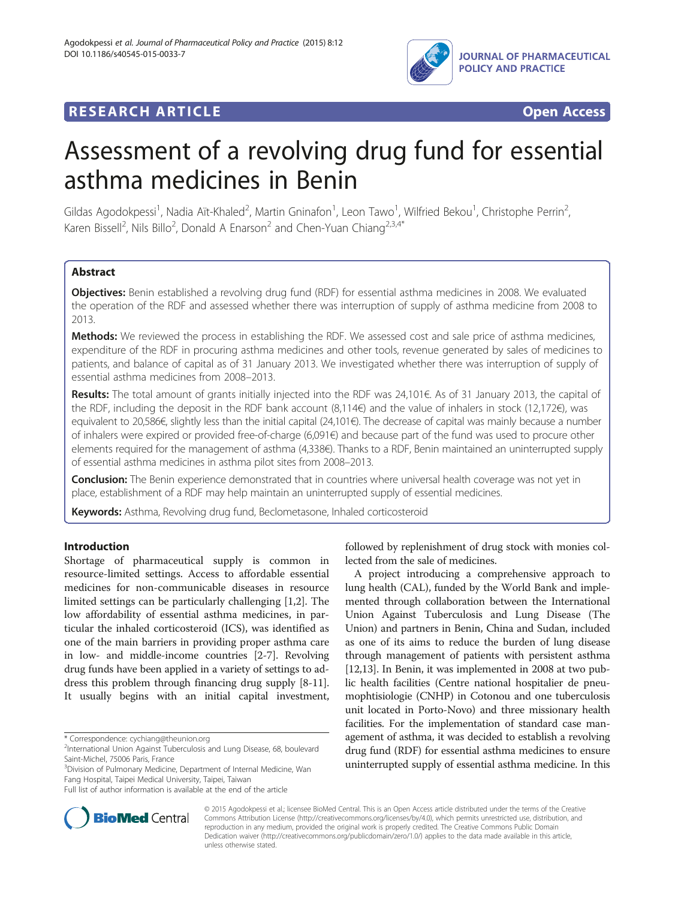

# **RESEARCH ARTICLE Example 2018 CONSIDERING CONSIDERING CONSIDERING CONSIDERING CONSIDERING CONSIDERING CONSIDERING CONSIDERING CONSIDERING CONSIDERING CONSIDERING CONSIDERING CONSIDERING CONSIDERING CONSIDERING CONSIDE**



# Assessment of a revolving drug fund for essential asthma medicines in Benin

Gildas Agodokpessi<sup>1</sup>, Nadia Aït-Khaled<sup>2</sup>, Martin Gninafon<sup>1</sup>, Leon Tawo<sup>1</sup>, Wilfried Bekou<sup>1</sup>, Christophe Perrin<sup>2</sup> , Karen Bissell<sup>2</sup>, Nils Billo<sup>2</sup>, Donald A Enarson<sup>2</sup> and Chen-Yuan Chiang<sup>2,3,4\*</sup>

# Abstract

Objectives: Benin established a revolving drug fund (RDF) for essential asthma medicines in 2008. We evaluated the operation of the RDF and assessed whether there was interruption of supply of asthma medicine from 2008 to 2013.

Methods: We reviewed the process in establishing the RDF. We assessed cost and sale price of asthma medicines, expenditure of the RDF in procuring asthma medicines and other tools, revenue generated by sales of medicines to patients, and balance of capital as of 31 January 2013. We investigated whether there was interruption of supply of essential asthma medicines from 2008–2013.

Results: The total amount of grants initially injected into the RDF was 24,101€. As of 31 January 2013, the capital of the RDF, including the deposit in the RDF bank account (8,114€) and the value of inhalers in stock (12,172€), was equivalent to 20,586€, slightly less than the initial capital (24,101€). The decrease of capital was mainly because a number of inhalers were expired or provided free-of-charge (6,091€) and because part of the fund was used to procure other elements required for the management of asthma (4,338€). Thanks to a RDF, Benin maintained an uninterrupted supply of essential asthma medicines in asthma pilot sites from 2008–2013.

Conclusion: The Benin experience demonstrated that in countries where universal health coverage was not yet in place, establishment of a RDF may help maintain an uninterrupted supply of essential medicines.

Keywords: Asthma, Revolving drug fund, Beclometasone, Inhaled corticosteroid

# Introduction

Shortage of pharmaceutical supply is common in resource-limited settings. Access to affordable essential medicines for non-communicable diseases in resource limited settings can be particularly challenging [\[1,2](#page-6-0)]. The low affordability of essential asthma medicines, in particular the inhaled corticosteroid (ICS), was identified as one of the main barriers in providing proper asthma care in low- and middle-income countries [\[2](#page-6-0)-[7](#page-6-0)]. Revolving drug funds have been applied in a variety of settings to address this problem through financing drug supply [\[8](#page-6-0)-[11](#page-6-0)]. It usually begins with an initial capital investment,

\* Correspondence: [cychiang@theunion.org](mailto:cychiang@theunion.org) <sup>2</sup>

<sup>3</sup>Division of Pulmonary Medicine, Department of Internal Medicine, Wan Fang Hospital, Taipei Medical University, Taipei, Taiwan

followed by replenishment of drug stock with monies collected from the sale of medicines.

A project introducing a comprehensive approach to lung health (CAL), funded by the World Bank and implemented through collaboration between the International Union Against Tuberculosis and Lung Disease (The Union) and partners in Benin, China and Sudan, included as one of its aims to reduce the burden of lung disease through management of patients with persistent asthma [[12](#page-6-0),[13](#page-6-0)]. In Benin, it was implemented in 2008 at two public health facilities (Centre national hospitalier de pneumophtisiologie (CNHP) in Cotonou and one tuberculosis unit located in Porto-Novo) and three missionary health facilities. For the implementation of standard case management of asthma, it was decided to establish a revolving drug fund (RDF) for essential asthma medicines to ensure uninterrupted supply of essential asthma medicine. In this



© 2015 Agodokpessi et al.; licensee BioMed Central. This is an Open Access article distributed under the terms of the Creative Commons Attribution License [\(http://creativecommons.org/licenses/by/4.0\)](http://creativecommons.org/licenses/by/4.0), which permits unrestricted use, distribution, and reproduction in any medium, provided the original work is properly credited. The Creative Commons Public Domain Dedication waiver [\(http://creativecommons.org/publicdomain/zero/1.0/](http://creativecommons.org/publicdomain/zero/1.0/)) applies to the data made available in this article, unless otherwise stated.

<sup>&</sup>lt;sup>2</sup>International Union Against Tuberculosis and Lung Disease, 68, boulevard Saint-Michel, 75006 Paris, France

Full list of author information is available at the end of the article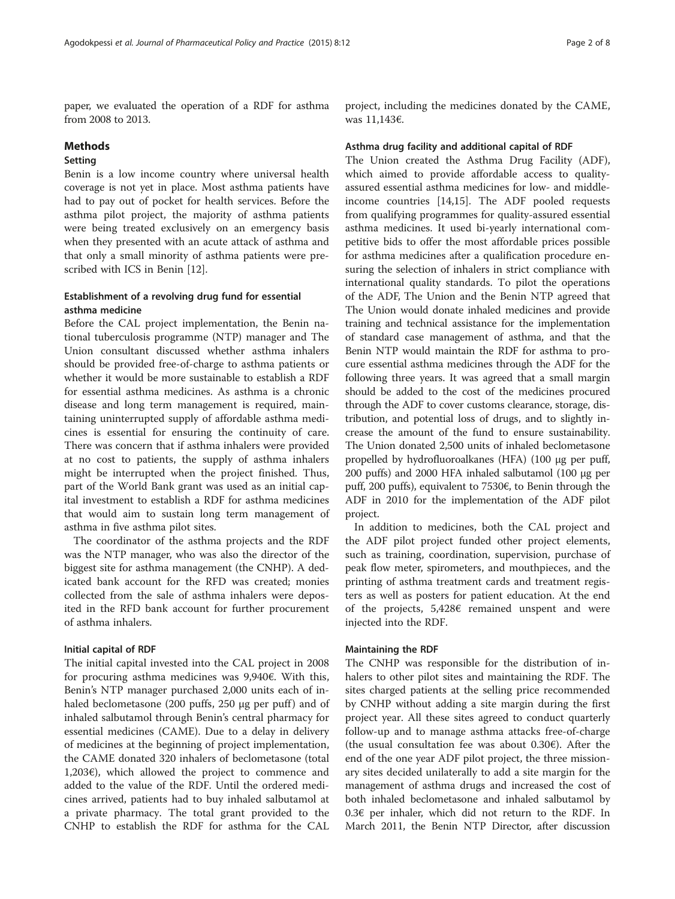paper, we evaluated the operation of a RDF for asthma from 2008 to 2013.

## Methods

## Setting

Benin is a low income country where universal health coverage is not yet in place. Most asthma patients have had to pay out of pocket for health services. Before the asthma pilot project, the majority of asthma patients were being treated exclusively on an emergency basis when they presented with an acute attack of asthma and that only a small minority of asthma patients were prescribed with ICS in Benin [\[12\]](#page-6-0).

# Establishment of a revolving drug fund for essential asthma medicine

Before the CAL project implementation, the Benin national tuberculosis programme (NTP) manager and The Union consultant discussed whether asthma inhalers should be provided free-of-charge to asthma patients or whether it would be more sustainable to establish a RDF for essential asthma medicines. As asthma is a chronic disease and long term management is required, maintaining uninterrupted supply of affordable asthma medicines is essential for ensuring the continuity of care. There was concern that if asthma inhalers were provided at no cost to patients, the supply of asthma inhalers might be interrupted when the project finished. Thus, part of the World Bank grant was used as an initial capital investment to establish a RDF for asthma medicines that would aim to sustain long term management of asthma in five asthma pilot sites.

The coordinator of the asthma projects and the RDF was the NTP manager, who was also the director of the biggest site for asthma management (the CNHP). A dedicated bank account for the RFD was created; monies collected from the sale of asthma inhalers were deposited in the RFD bank account for further procurement of asthma inhalers.

#### Initial capital of RDF

The initial capital invested into the CAL project in 2008 for procuring asthma medicines was 9,940€. With this, Benin's NTP manager purchased 2,000 units each of inhaled beclometasone  $(200 \text{ puffs}, 250 \text{ µg per puff})$  and of inhaled salbutamol through Benin's central pharmacy for essential medicines (CAME). Due to a delay in delivery of medicines at the beginning of project implementation, the CAME donated 320 inhalers of beclometasone (total 1,203€), which allowed the project to commence and added to the value of the RDF. Until the ordered medicines arrived, patients had to buy inhaled salbutamol at a private pharmacy. The total grant provided to the CNHP to establish the RDF for asthma for the CAL

project, including the medicines donated by the CAME, was 11,143€.

#### Asthma drug facility and additional capital of RDF

The Union created the Asthma Drug Facility (ADF), which aimed to provide affordable access to qualityassured essential asthma medicines for low- and middleincome countries [[14,15\]](#page-6-0). The ADF pooled requests from qualifying programmes for quality-assured essential asthma medicines. It used bi-yearly international competitive bids to offer the most affordable prices possible for asthma medicines after a qualification procedure ensuring the selection of inhalers in strict compliance with international quality standards. To pilot the operations of the ADF, The Union and the Benin NTP agreed that The Union would donate inhaled medicines and provide training and technical assistance for the implementation of standard case management of asthma, and that the Benin NTP would maintain the RDF for asthma to procure essential asthma medicines through the ADF for the following three years. It was agreed that a small margin should be added to the cost of the medicines procured through the ADF to cover customs clearance, storage, distribution, and potential loss of drugs, and to slightly increase the amount of the fund to ensure sustainability. The Union donated 2,500 units of inhaled beclometasone propelled by hydrofluoroalkanes (HFA) (100 μg per puff, 200 puffs) and 2000 HFA inhaled salbutamol (100 μg per puff, 200 puffs), equivalent to 7530€, to Benin through the ADF in 2010 for the implementation of the ADF pilot project.

In addition to medicines, both the CAL project and the ADF pilot project funded other project elements, such as training, coordination, supervision, purchase of peak flow meter, spirometers, and mouthpieces, and the printing of asthma treatment cards and treatment registers as well as posters for patient education. At the end of the projects, 5,428€ remained unspent and were injected into the RDF.

#### Maintaining the RDF

The CNHP was responsible for the distribution of inhalers to other pilot sites and maintaining the RDF. The sites charged patients at the selling price recommended by CNHP without adding a site margin during the first project year. All these sites agreed to conduct quarterly follow-up and to manage asthma attacks free-of-charge (the usual consultation fee was about 0.30€). After the end of the one year ADF pilot project, the three missionary sites decided unilaterally to add a site margin for the management of asthma drugs and increased the cost of both inhaled beclometasone and inhaled salbutamol by 0.3€ per inhaler, which did not return to the RDF. In March 2011, the Benin NTP Director, after discussion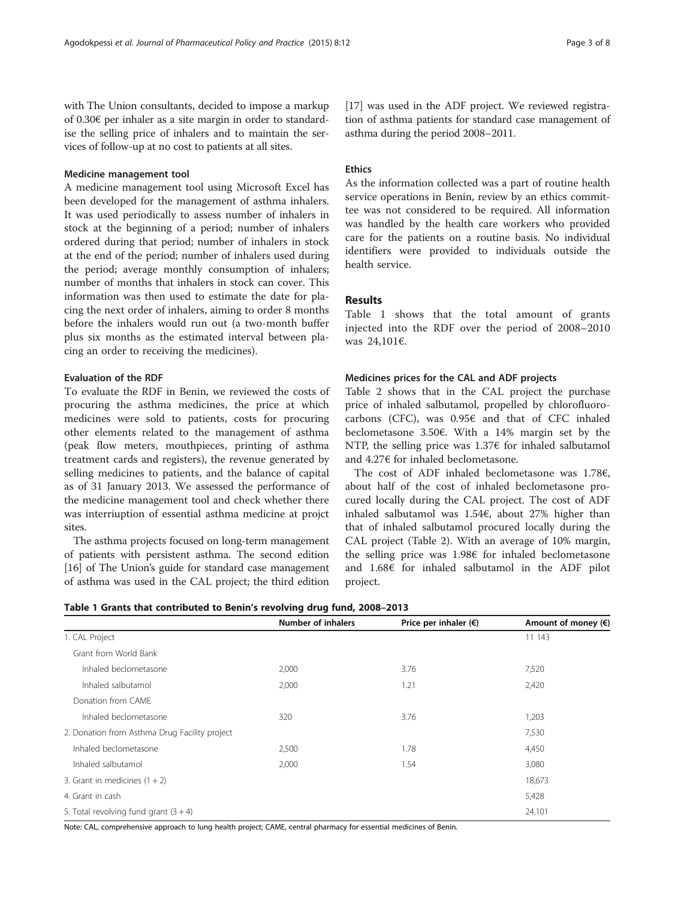with The Union consultants, decided to impose a markup of 0.30€ per inhaler as a site margin in order to standardise the selling price of inhalers and to maintain the services of follow-up at no cost to patients at all sites.

#### Medicine management tool

A medicine management tool using Microsoft Excel has been developed for the management of asthma inhalers. It was used periodically to assess number of inhalers in stock at the beginning of a period; number of inhalers ordered during that period; number of inhalers in stock at the end of the period; number of inhalers used during the period; average monthly consumption of inhalers; number of months that inhalers in stock can cover. This information was then used to estimate the date for placing the next order of inhalers, aiming to order 8 months before the inhalers would run out (a two-month buffer plus six months as the estimated interval between placing an order to receiving the medicines).

### Evaluation of the RDF

To evaluate the RDF in Benin, we reviewed the costs of procuring the asthma medicines, the price at which medicines were sold to patients, costs for procuring other elements related to the management of asthma (peak flow meters, mouthpieces, printing of asthma treatment cards and registers), the revenue generated by selling medicines to patients, and the balance of capital as of 31 January 2013. We assessed the performance of the medicine management tool and check whether there was interriuption of essential asthma medicine at projct sites.

The asthma projects focused on long-term management of patients with persistent asthma. The second edition [[16](#page-6-0)] of The Union's guide for standard case management of asthma was used in the CAL project; the third edition [[17](#page-7-0)] was used in the ADF project. We reviewed registration of asthma patients for standard case management of asthma during the period 2008–2011.

#### **Ethics**

As the information collected was a part of routine health service operations in Benin, review by an ethics committee was not considered to be required. All information was handled by the health care workers who provided care for the patients on a routine basis. No individual identifiers were provided to individuals outside the health service.

# Results

Table 1 shows that the total amount of grants injected into the RDF over the period of 2008–2010 was 24,101€.

#### Medicines prices for the CAL and ADF projects

Table [2](#page-3-0) shows that in the CAL project the purchase price of inhaled salbutamol, propelled by chlorofluorocarbons (CFC), was 0.95€ and that of CFC inhaled beclometasone 3.50€. With a 14% margin set by the NTP, the selling price was 1.37€ for inhaled salbutamol and 4.27€ for inhaled beclometasone.

The cost of ADF inhaled beclometasone was 1.78€, about half of the cost of inhaled beclometasone procured locally during the CAL project. The cost of ADF inhaled salbutamol was 1.54€, about 27% higher than that of inhaled salbutamol procured locally during the CAL project (Table [2](#page-3-0)). With an average of 10% margin, the selling price was 1.98€ for inhaled beclometasone and 1.68€ for inhaled salbutamol in the ADF pilot project.

Table 1 Grants that contributed to Benin's revolving drug fund, 2008–2013

|                                               | <b>Number of inhalers</b> | Price per inhaler $(\epsilon)$                                    | Amount of money (€) |
|-----------------------------------------------|---------------------------|-------------------------------------------------------------------|---------------------|
| 1. CAL Project                                |                           |                                                                   | 11 143              |
| Grant from World Bank                         |                           |                                                                   |                     |
| Inhaled beclometasone                         | 2,000                     | 3.76                                                              | 7,520               |
| Inhaled salbutamol                            | 2,000                     | 1.21                                                              | 2,420               |
| Donation from CAME                            |                           |                                                                   |                     |
| Inhaled beclometasone                         | 320<br>3.76               |                                                                   | 1,203               |
| 2. Donation from Asthma Drug Facility project |                           |                                                                   | 7,530               |
| Inhaled beclometasone                         | 2,500                     | 1.78                                                              | 4,450               |
| Inhaled salbutamol                            | 2,000                     | 1.54                                                              | 3,080               |
| 3. Grant in medicines $(1 + 2)$               |                           |                                                                   | 18,673              |
| 4. Grant in cash                              |                           |                                                                   | 5,428               |
| 5. Total revolving fund grant $(3 + 4)$       |                           |                                                                   | 24,101              |
|                                               | $\sim$                    | $\sim$ $\sim$ $\sim$ $\sim$ $\sim$ $\sim$<br>$\sim$ $\sim$ $\sim$ |                     |

Note: CAL, comprehensive approach to lung health project; CAME, central pharmacy for essential medicines of Benin.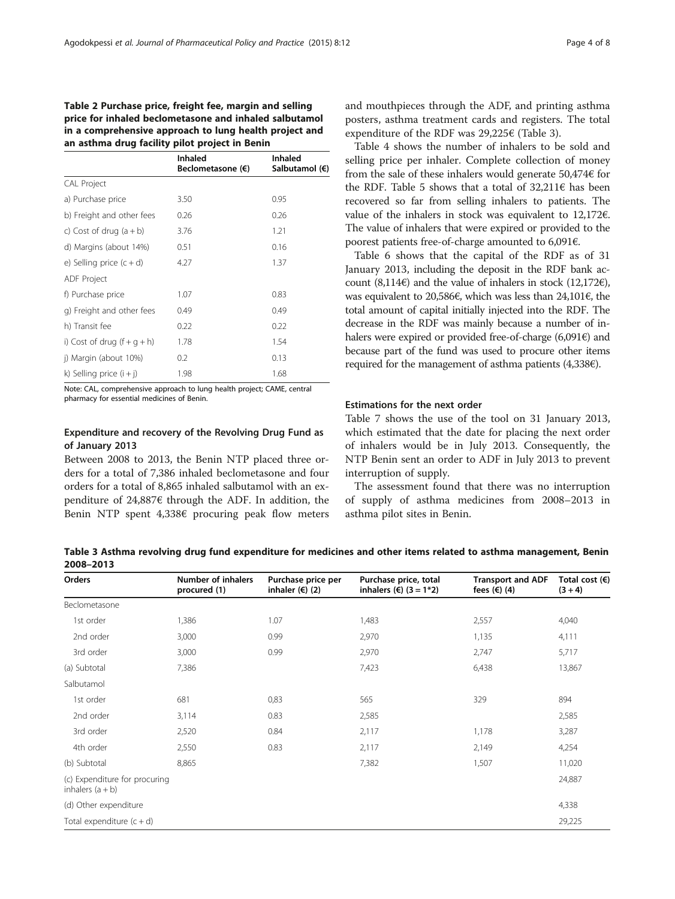# <span id="page-3-0"></span>Table 2 Purchase price, freight fee, margin and selling price for inhaled beclometasone and inhaled salbutamol in a comprehensive approach to lung health project and an asthma drug facility pilot project in Benin

|                            | <b>Inhaled</b><br>Beclometasone (€) | <b>Inhaled</b><br>Salbutamol (€) |
|----------------------------|-------------------------------------|----------------------------------|
| <b>CAL Project</b>         |                                     |                                  |
| a) Purchase price          | 3.50                                | 0.95                             |
| b) Freight and other fees  | 0.26                                | 0.26                             |
| c) Cost of drug $(a + b)$  | 3.76                                | 1.21                             |
| d) Margins (about 14%)     | 0.51                                | 0.16                             |
| e) Selling price $(c + d)$ | 4.27                                | 1.37                             |
| ADF Project                |                                     |                                  |
| f) Purchase price          | 1.07                                | 0.83                             |
| g) Freight and other fees  | 0.49                                | 0.49                             |
| h) Transit fee             | 0.22                                | 0.22                             |
| i) Cost of drug $(f+g+h)$  | 1.78                                | 1.54                             |
| j) Margin (about 10%)      | 0.2                                 | 0.13                             |
| k) Selling price $(i + j)$ | 1.98                                | 1.68                             |

Note: CAL, comprehensive approach to lung health project; CAME, central pharmacy for essential medicines of Benin.

# Expenditure and recovery of the Revolving Drug Fund as of January 2013

Between 2008 to 2013, the Benin NTP placed three orders for a total of 7,386 inhaled beclometasone and four orders for a total of 8,865 inhaled salbutamol with an expenditure of 24,887€ through the ADF. In addition, the Benin NTP spent 4,338€ procuring peak flow meters and mouthpieces through the ADF, and printing asthma posters, asthma treatment cards and registers. The total expenditure of the RDF was 29,225€ (Table 3).

Table [4](#page-4-0) shows the number of inhalers to be sold and selling price per inhaler. Complete collection of money from the sale of these inhalers would generate 50,474€ for the RDF. Table [5](#page-4-0) shows that a total of  $32,211 \in \text{has been}$ recovered so far from selling inhalers to patients. The value of the inhalers in stock was equivalent to 12,172€. The value of inhalers that were expired or provided to the poorest patients free-of-charge amounted to 6,091€.

Table [6](#page-4-0) shows that the capital of the RDF as of 31 January 2013, including the deposit in the RDF bank account (8,114€) and the value of inhalers in stock (12,172€), was equivalent to 20,586€, which was less than 24,101€, the total amount of capital initially injected into the RDF. The decrease in the RDF was mainly because a number of inhalers were expired or provided free-of-charge (6,091 $\varepsilon$ ) and because part of the fund was used to procure other items required for the management of asthma patients  $(4,338)$ .

#### Estimations for the next order

Table [7](#page-5-0) shows the use of the tool on 31 January 2013, which estimated that the date for placing the next order of inhalers would be in July 2013. Consequently, the NTP Benin sent an order to ADF in July 2013 to prevent interruption of supply.

The assessment found that there was no interruption of supply of asthma medicines from 2008–2013 in asthma pilot sites in Benin.

Table 3 Asthma revolving drug fund expenditure for medicines and other items related to asthma management, Benin 2008–2013

| Orders                                              | <b>Number of inhalers</b><br>procured (1) | Purchase price per<br>inhaler $(€)$ (2) | Purchase price, total<br>inhalers (€) $(3 = 1*2)$ | <b>Transport and ADF</b><br>fees $(4)$ (4) | Total cost $(6)$<br>$(3 + 4)$ |
|-----------------------------------------------------|-------------------------------------------|-----------------------------------------|---------------------------------------------------|--------------------------------------------|-------------------------------|
| Beclometasone                                       |                                           |                                         |                                                   |                                            |                               |
| 1st order                                           | 1,386                                     | 1.07                                    | 1,483                                             | 2,557                                      | 4,040                         |
| 2nd order                                           | 3,000                                     | 0.99                                    | 2,970                                             | 1,135                                      | 4,111                         |
| 3rd order                                           | 3,000                                     | 0.99                                    | 2,970                                             | 2,747                                      | 5,717                         |
| (a) Subtotal                                        | 7,386                                     |                                         | 7,423                                             | 6,438                                      | 13,867                        |
| Salbutamol                                          |                                           |                                         |                                                   |                                            |                               |
| 1st order                                           | 681                                       | 0,83                                    | 565                                               | 329                                        | 894                           |
| 2nd order                                           | 3,114                                     | 0.83                                    | 2,585                                             |                                            | 2,585                         |
| 3rd order                                           | 2,520                                     | 0.84                                    | 2,117                                             | 1,178                                      | 3,287                         |
| 4th order                                           | 2,550                                     | 0.83                                    | 2,117                                             | 2,149                                      | 4,254                         |
| (b) Subtotal                                        | 8,865                                     |                                         | 7,382                                             | 1,507                                      | 11,020                        |
| (c) Expenditure for procuring<br>inhalers $(a + b)$ |                                           |                                         |                                                   |                                            | 24,887                        |
| (d) Other expenditure                               |                                           |                                         |                                                   |                                            | 4,338                         |
| Total expenditure $(c + d)$                         |                                           |                                         |                                                   |                                            | 29,225                        |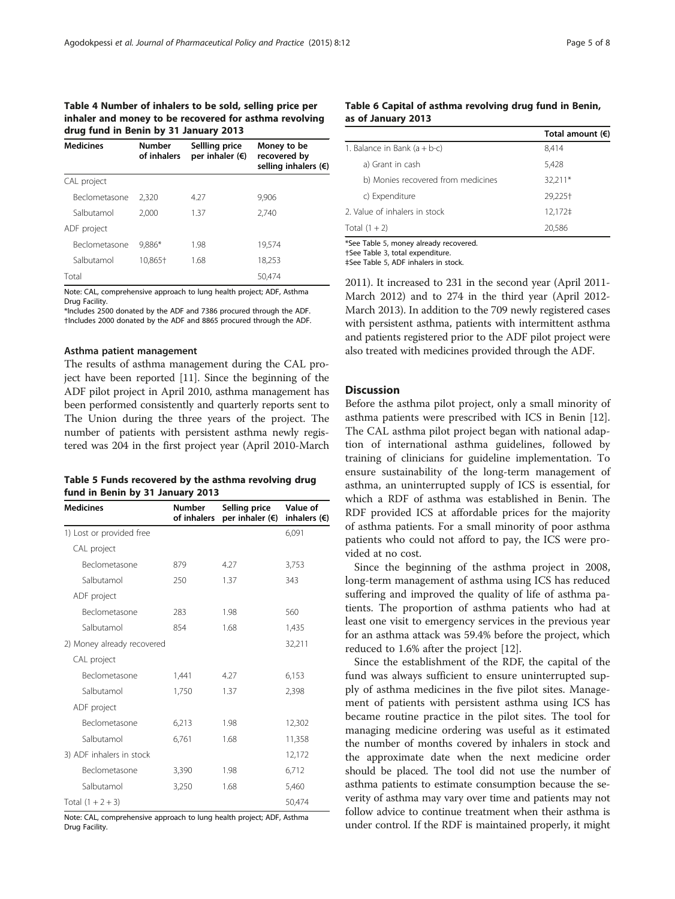#### <span id="page-4-0"></span>Table 4 Number of inhalers to be sold, selling price per inhaler and money to be recovered for asthma revolving drug fund in Benin by 31 January 2013

| <b>Medicines</b> | <b>Number</b><br>Sellling price<br>per inhaler $(6)$<br>of inhalers |      | Money to be<br>recovered by<br>selling inhalers $(\epsilon)$ |  |  |
|------------------|---------------------------------------------------------------------|------|--------------------------------------------------------------|--|--|
| CAL project      |                                                                     |      |                                                              |  |  |
| Beclometasone    | 2.320                                                               | 4.27 | 9,906                                                        |  |  |
| Salbutamol       | 2.000                                                               | 1.37 | 2,740                                                        |  |  |
| ADF project      |                                                                     |      |                                                              |  |  |
| Beclometasone    | 9.886*                                                              | 1.98 | 19,574                                                       |  |  |
| Salbutamol       | 10.865+                                                             | 1.68 | 18,253                                                       |  |  |
| Total            |                                                                     |      | 50,474                                                       |  |  |

Note: CAL, comprehensive approach to lung health project; ADF, Asthma Drug Facility.

\*Includes 2500 donated by the ADF and 7386 procured through the ADF. †Includes 2000 donated by the ADF and 8865 procured through the ADF.

#### Asthma patient management

The results of asthma management during the CAL project have been reported [\[11](#page-6-0)]. Since the beginning of the ADF pilot project in April 2010, asthma management has been performed consistently and quarterly reports sent to The Union during the three years of the project. The number of patients with persistent asthma newly registered was 204 in the first project year (April 2010-March

| Table 5 Funds recovered by the asthma revolving drug |  |  |  |
|------------------------------------------------------|--|--|--|
| fund in Benin by 31 January 2013                     |  |  |  |

| <b>Medicines</b>           | <b>Number</b><br>of inhalers | Selling price<br>per inhaler $(\epsilon)$ | Value of<br>inhalers $( \in )$ |  |
|----------------------------|------------------------------|-------------------------------------------|--------------------------------|--|
| 1) Lost or provided free   |                              |                                           | 6,091                          |  |
| CAL project                |                              |                                           |                                |  |
| Beclometasone              | 879                          | 4.27                                      | 3,753                          |  |
| Salbutamol                 | 250                          | 1.37                                      | 343                            |  |
| ADF project                |                              |                                           |                                |  |
| Beclometasone              | 283                          | 1.98                                      | 560                            |  |
| Salbutamol                 | 854                          | 1.68                                      | 1,435                          |  |
| 2) Money already recovered |                              |                                           | 32,211                         |  |
| CAL project                |                              |                                           |                                |  |
| Beclometasone              | 1,441                        | 4.27                                      | 6,153                          |  |
| Salbutamol                 | 1,750                        | 1.37                                      | 2,398                          |  |
| ADF project                |                              |                                           |                                |  |
| Beclometasone              | 6,213                        | 1.98                                      | 12,302                         |  |
| Salbutamol                 | 6,761                        | 1.68                                      | 11,358                         |  |
| 3) ADF inhalers in stock   |                              |                                           | 12,172                         |  |
| Beclometasone              | 3,390                        | 1.98                                      | 6,712                          |  |
| Salbutamol                 | 3,250                        | 1.68                                      | 5,460                          |  |
| Total $(1 + 2 + 3)$        |                              |                                           | 50,474                         |  |

Note: CAL, comprehensive approach to lung health project; ADF, Asthma Drug Facility.

### Table 6 Capital of asthma revolving drug fund in Benin, as of January 2013

|                                    | Total amount $(6)$ |
|------------------------------------|--------------------|
| 1. Balance in Bank $(a + b-c)$     | 8,414              |
| a) Grant in cash                   | 5,428              |
| b) Monies recovered from medicines | 32,211*            |
| c) Expenditure                     | 29,225+            |
| 2. Value of inhalers in stock      | 12,172‡            |
| Total $(1 + 2)$                    | 20,586             |

\*See Table 5, money already recovered.

†See Table [3](#page-3-0), total expenditure.

‡See Table 5, ADF inhalers in stock.

2011). It increased to 231 in the second year (April 2011- March 2012) and to 274 in the third year (April 2012- March 2013). In addition to the 709 newly registered cases with persistent asthma, patients with intermittent asthma and patients registered prior to the ADF pilot project were also treated with medicines provided through the ADF.

#### **Discussion**

Before the asthma pilot project, only a small minority of asthma patients were prescribed with ICS in Benin [\[12](#page-6-0)]. The CAL asthma pilot project began with national adaption of international asthma guidelines, followed by training of clinicians for guideline implementation. To ensure sustainability of the long-term management of asthma, an uninterrupted supply of ICS is essential, for which a RDF of asthma was established in Benin. The RDF provided ICS at affordable prices for the majority of asthma patients. For a small minority of poor asthma patients who could not afford to pay, the ICS were provided at no cost.

Since the beginning of the asthma project in 2008, long-term management of asthma using ICS has reduced suffering and improved the quality of life of asthma patients. The proportion of asthma patients who had at least one visit to emergency services in the previous year for an asthma attack was 59.4% before the project, which reduced to 1.6% after the project [\[12](#page-6-0)].

Since the establishment of the RDF, the capital of the fund was always sufficient to ensure uninterrupted supply of asthma medicines in the five pilot sites. Management of patients with persistent asthma using ICS has became routine practice in the pilot sites. The tool for managing medicine ordering was useful as it estimated the number of months covered by inhalers in stock and the approximate date when the next medicine order should be placed. The tool did not use the number of asthma patients to estimate consumption because the severity of asthma may vary over time and patients may not follow advice to continue treatment when their asthma is under control. If the RDF is maintained properly, it might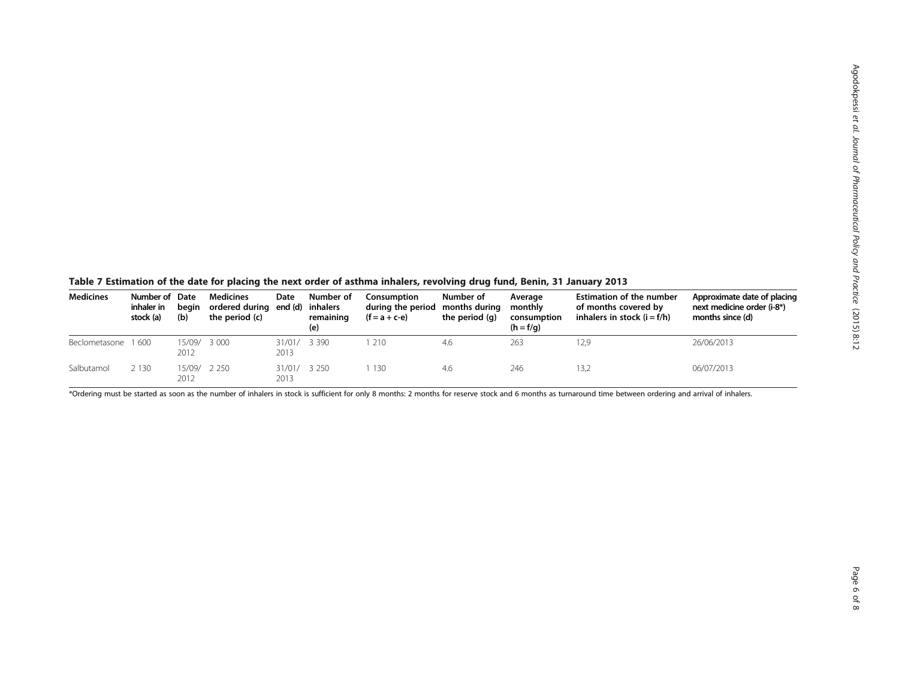<span id="page-5-0"></span>Table 7 Estimation of the date for placing the next order of asthma inhalers, revolving drug fund, Benin, 31 January 2013

| <b>Medicines</b>   | Number of Date<br>inhaler in<br>stock (a) | beain<br>(b)         | <b>Medicines</b><br>ordered during end (d)<br>the period (c) | Date                 | Number of<br>inhalers<br>remaining<br>(e) | Consumption<br>during the period months during<br>$(f = a + c - e)$ | Number of<br>the period (q) | Average<br>monthly<br>consumption<br>$(h = f/q)$ | <b>Estimation of the number</b><br>of months covered by<br>inhalers in stock $(i = f/h)$ | Approximate date of placing<br>next medicine order (i-8*)<br>months since (d) |
|--------------------|-------------------------------------------|----------------------|--------------------------------------------------------------|----------------------|-------------------------------------------|---------------------------------------------------------------------|-----------------------------|--------------------------------------------------|------------------------------------------------------------------------------------------|-------------------------------------------------------------------------------|
| Beclometasone 1600 |                                           | 15/09/ 3 000<br>2012 |                                                              | 31/01/ 3 390<br>2013 |                                           | 210                                                                 | 4.6                         | 263                                              | 12.9                                                                                     | 26/06/2013                                                                    |
| Salbutamol         | 2 1 3 0                                   | 15/09/<br>2012       | 2 2 5 0                                                      | 31/01/<br>2013       | 3 2 5 0                                   | 130                                                                 | 4.6                         | 246                                              | 13,2                                                                                     | 06/07/2013                                                                    |

\*Ordering must be started as soon as the number of inhalers in stock is sufficient for only 8 months: 2 months for reserve stock and 6 months as turnaround time between ordering and arrival of inhalers.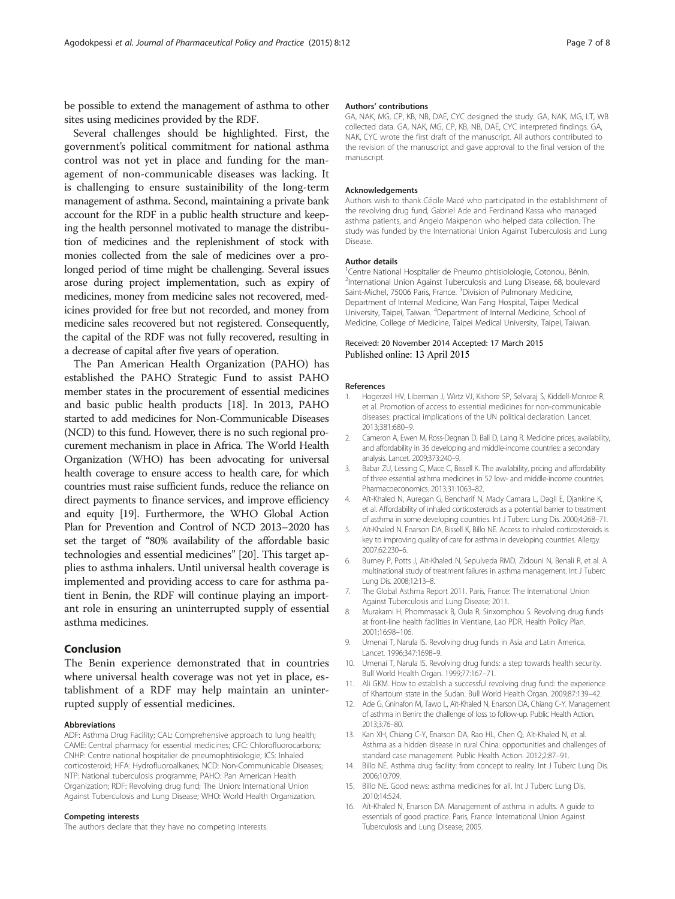<span id="page-6-0"></span>be possible to extend the management of asthma to other sites using medicines provided by the RDF.

Several challenges should be highlighted. First, the government's political commitment for national asthma control was not yet in place and funding for the management of non-communicable diseases was lacking. It is challenging to ensure sustainibility of the long-term management of asthma. Second, maintaining a private bank account for the RDF in a public health structure and keeping the health personnel motivated to manage the distribution of medicines and the replenishment of stock with monies collected from the sale of medicines over a prolonged period of time might be challenging. Several issues arose during project implementation, such as expiry of medicines, money from medicine sales not recovered, medicines provided for free but not recorded, and money from medicine sales recovered but not registered. Consequently, the capital of the RDF was not fully recovered, resulting in a decrease of capital after five years of operation.

The Pan American Health Organization (PAHO) has established the PAHO Strategic Fund to assist PAHO member states in the procurement of essential medicines and basic public health products [\[18\]](#page-7-0). In 2013, PAHO started to add medicines for Non-Communicable Diseases (NCD) to this fund. However, there is no such regional procurement mechanism in place in Africa. The World Health Organization (WHO) has been advocating for universal health coverage to ensure access to health care, for which countries must raise sufficient funds, reduce the reliance on direct payments to finance services, and improve efficiency and equity [[19](#page-7-0)]. Furthermore, the WHO Global Action Plan for Prevention and Control of NCD 2013–2020 has set the target of "80% availability of the affordable basic technologies and essential medicines" [[20](#page-7-0)]. This target applies to asthma inhalers. Until universal health coverage is implemented and providing access to care for asthma patient in Benin, the RDF will continue playing an important role in ensuring an uninterrupted supply of essential asthma medicines.

#### Conclusion

The Benin experience demonstrated that in countries where universal health coverage was not yet in place, establishment of a RDF may help maintain an uninterrupted supply of essential medicines.

#### Abbreviations

ADF: Asthma Drug Facility; CAL: Comprehensive approach to lung health; CAME: Central pharmacy for essential medicines; CFC: Chlorofluorocarbons; CNHP: Centre national hospitalier de pneumophtisiologie; ICS: Inhaled corticosteroid; HFA: Hydrofluoroalkanes; NCD: Non-Communicable Diseases; NTP: National tuberculosis programme; PAHO: Pan American Health Organization; RDF: Revolving drug fund; The Union: International Union Against Tuberculosis and Lung Disease; WHO: World Health Organization.

#### Competing interests

The authors declare that they have no competing interests.

#### Authors' contributions

GA, NAK, MG, CP, KB, NB, DAE, CYC designed the study. GA, NAK, MG, LT, WB collected data. GA, NAK, MG, CP, KB, NB, DAE, CYC interpreted findings. GA, NAK, CYC wrote the first draft of the manuscript. All authors contributed to the revision of the manuscript and gave approval to the final version of the manuscript.

#### Acknowledgements

Authors wish to thank Cécile Macé who participated in the establishment of the revolving drug fund, Gabriel Ade and Ferdinand Kassa who managed asthma patients, and Angelo Makpenon who helped data collection. The study was funded by the International Union Against Tuberculosis and Lung Disease.

#### Author details

<sup>1</sup> Centre National Hospitalier de Pneumo phtisiolologie, Cotonou, Bénin. <sup>2</sup>International Union Against Tuberculosis and Lung Disease, 68, boulevard Saint-Michel, 75006 Paris, France. <sup>3</sup>Division of Pulmonary Medicine, Department of Internal Medicine, Wan Fang Hospital, Taipei Medical University, Taipei, Taiwan. <sup>4</sup>Department of Internal Medicine, School of Medicine, College of Medicine, Taipei Medical University, Taipei, Taiwan.

#### Received: 20 November 2014 Accepted: 17 March 2015 Published online: 13 April 2015

#### References

- 1. Hogerzeil HV, Liberman J, Wirtz VJ, Kishore SP, Selvaraj S, Kiddell-Monroe R, et al. Promotion of access to essential medicines for non-communicable diseases: practical implications of the UN political declaration. Lancet. 2013;381:680–9.
- 2. Cameron A, Ewen M, Ross-Degnan D, Ball D, Laing R. Medicine prices, availability, and affordability in 36 developing and middle-income countries: a secondary analysis. Lancet. 2009;373:240–9.
- 3. Babar ZU, Lessing C, Mace C, Bissell K. The availability, pricing and affordability of three essential asthma medicines in 52 low- and middle-income countries. Pharmacoeconomics. 2013;31:1063–82.
- 4. Aït-Khaled N, Auregan G, Bencharif N, Mady Camara L, Dagli E, Djankine K, et al. Affordability of inhaled corticosteroids as a potential barrier to treatment of asthma in some developing countries. Int J Tuberc Lung Dis. 2000;4:268–71.
- 5. Aït-Khaled N, Enarson DA, Bissell K, Billo NE. Access to inhaled corticosteroids is key to improving quality of care for asthma in developing countries. Allergy. 2007;62:230–6.
- 6. Burney P, Potts J, Aït-Khaled N, Sepulveda RMD, Zidouni N, Benali R, et al. A multinational study of treatment failures in asthma management. Int J Tuberc Lung Dis. 2008;12:13–8.
- 7. The Global Asthma Report 2011. Paris, France: The International Union Against Tuberculosis and Lung Disease; 2011.
- 8. Murakami H, Phommasack B, Oula R, Sinxomphou S. Revolving drug funds at front-line health facilities in Vientiane, Lao PDR. Health Policy Plan. 2001;16:98–106.
- 9. Umenai T, Narula IS. Revolving drug funds in Asia and Latin America. Lancet. 1996;347:1698–9.
- 10. Umenai T, Narula IS. Revolving drug funds: a step towards health security. Bull World Health Organ. 1999;77:167–71.
- 11. Ali GKM. How to establish a successful revolving drug fund: the experience of Khartoum state in the Sudan. Bull World Health Organ. 2009;87:139–42.
- 12. Ade G, Gninafon M, Tawo L, Aït-Khaled N, Enarson DA, Chiang C-Y. Management of asthma in Benin: the challenge of loss to follow-up. Public Health Action. 2013;3:76–80.
- 13. Kan XH, Chiang C-Y, Enarson DA, Rao HL, Chen Q, Aït-Khaled N, et al. Asthma as a hidden disease in rural China: opportunities and challenges of standard case management. Public Health Action. 2012;2:87–91.
- 14. Billo NE. Asthma drug facility: from concept to reality. Int J Tuberc Lung Dis. 2006;10:709.
- 15. Billo NE. Good news: asthma medicines for all. Int J Tuberc Lung Dis. 2010;14:524.
- 16. Aït-Khaled N, Enarson DA. Management of asthma in adults. A guide to essentials of good practice. Paris, France: International Union Against Tuberculosis and Lung Disease; 2005.